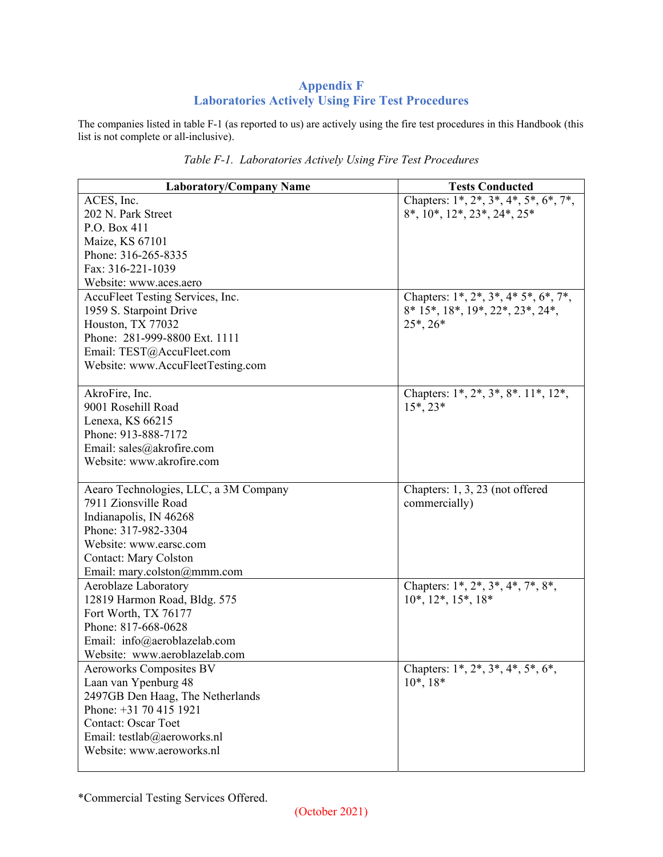## **Appendix F Laboratories Actively Using Fire Test Procedures**

The companies listed in table F-1 (as reported to us) are actively using the fire test procedures in this Handbook (this list is not complete or all-inclusive).

| <b>Laboratory/Company Name</b>        | <b>Tests Conducted</b>                                          |
|---------------------------------------|-----------------------------------------------------------------|
| ACES, Inc.                            | Chapters: $1^*, 2^*, 3^*, 4^*, 5^*, 6^*, 7^*,$                  |
| 202 N. Park Street                    | $8^*, 10^*, 12^*, 23^*, 24^*, 25^*$                             |
| P.O. Box 411                          |                                                                 |
| Maize, KS 67101                       |                                                                 |
| Phone: 316-265-8335                   |                                                                 |
| Fax: 316-221-1039                     |                                                                 |
| Website: www.aces.aero                |                                                                 |
| AccuFleet Testing Services, Inc.      | Chapters: $1^*$ , $2^*$ , $3^*$ , $4^*$ $5^*$ , $6^*$ , $7^*$ , |
| 1959 S. Starpoint Drive               | 8* 15*, 18*, 19*, 22*, 23*, 24*,                                |
| Houston, TX 77032                     | $25^*$ , $26^*$                                                 |
| Phone: 281-999-8800 Ext. 1111         |                                                                 |
| Email: TEST@AccuFleet.com             |                                                                 |
| Website: www.AccuFleetTesting.com     |                                                                 |
|                                       |                                                                 |
| AkroFire, Inc.                        | Chapters: 1*, 2*, 3*, 8*. 11*, 12*,                             |
| 9001 Rosehill Road                    | $15^*$ , $23^*$                                                 |
| Lenexa, KS 66215                      |                                                                 |
| Phone: 913-888-7172                   |                                                                 |
| Email: sales@akrofire.com             |                                                                 |
| Website: www.akrofire.com             |                                                                 |
|                                       |                                                                 |
| Aearo Technologies, LLC, a 3M Company | Chapters: 1, 3, 23 (not offered                                 |
| 7911 Zionsville Road                  | commercially)                                                   |
| Indianapolis, IN 46268                |                                                                 |
| Phone: 317-982-3304                   |                                                                 |
| Website: www.earsc.com                |                                                                 |
| <b>Contact: Mary Colston</b>          |                                                                 |
| Email: mary.colston@mmm.com           |                                                                 |
| Aeroblaze Laboratory                  | Chapters: 1*, 2*, 3*, 4*, 7*, 8*,                               |
| 12819 Harmon Road, Bldg. 575          | $10^*, 12^*, 15^*, 18^*$                                        |
| Fort Worth, TX 76177                  |                                                                 |
| Phone: 817-668-0628                   |                                                                 |
| Email: info@aeroblazelab.com          |                                                                 |
| Website: www.aeroblazelab.com         |                                                                 |
| Aeroworks Composites BV               | Chapters: $1^*, 2^*, 3^*, 4^*, 5^*, 6^*$                        |
| Laan van Ypenburg 48                  | $10^*, 18^*$                                                    |
| 2497GB Den Haag, The Netherlands      |                                                                 |
| Phone: +31 70 415 1921                |                                                                 |
| <b>Contact: Oscar Toet</b>            |                                                                 |
| Email: testlab@aeroworks.nl           |                                                                 |
| Website: www.aeroworks.nl             |                                                                 |

|  |  | Table F-1. Laboratories Actively Using Fire Test Procedures |  |  |  |  |  |
|--|--|-------------------------------------------------------------|--|--|--|--|--|
|--|--|-------------------------------------------------------------|--|--|--|--|--|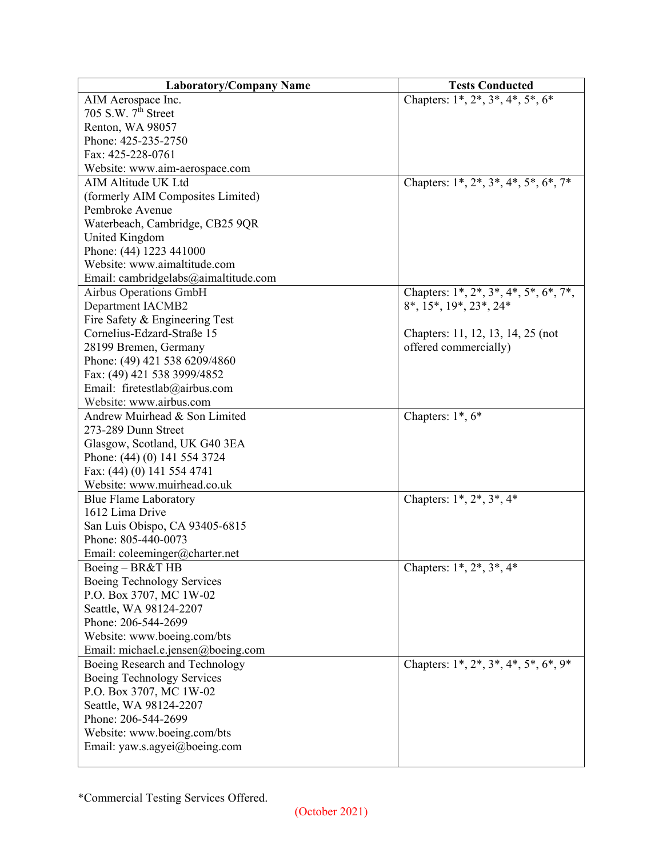| <b>Laboratory/Company Name</b>                | <b>Tests Conducted</b>                                          |
|-----------------------------------------------|-----------------------------------------------------------------|
| AIM Aerospace Inc.                            | Chapters: $1^*$ , $2^*$ , $3^*$ , $4^*$ , $5^*$ , $6^*$         |
| 705 S.W. $7th$ Street                         |                                                                 |
| Renton, WA 98057                              |                                                                 |
| Phone: 425-235-2750                           |                                                                 |
| Fax: 425-228-0761                             |                                                                 |
| Website: www.aim-aerospace.com                |                                                                 |
| AIM Altitude UK Ltd                           | Chapters: $1^*$ , $2^*$ , $3^*$ , $4^*$ , $5^*$ , $6^*$ , $7^*$ |
| (formerly AIM Composites Limited)             |                                                                 |
| Pembroke Avenue                               |                                                                 |
| Waterbeach, Cambridge, CB25 9QR               |                                                                 |
| United Kingdom                                |                                                                 |
| Phone: (44) 1223 441000                       |                                                                 |
| Website: www.aimaltitude.com                  |                                                                 |
| Email: cambridgelabs@aimaltitude.com          |                                                                 |
| <b>Airbus Operations GmbH</b>                 | Chapters: $1^*, 2^*, 3^*, 4^*, 5^*, 6^*, 7^*,$                  |
| <b>Department IACMB2</b>                      | 8*, 15*, 19*, 23*, 24*                                          |
| Fire Safety & Engineering Test                |                                                                 |
| Cornelius-Edzard-Straße 15                    | Chapters: 11, 12, 13, 14, 25 (not                               |
| 28199 Bremen, Germany                         | offered commercially)                                           |
| Phone: (49) 421 538 6209/4860                 |                                                                 |
| Fax: (49) 421 538 3999/4852                   |                                                                 |
| Email: firetestlab@airbus.com                 |                                                                 |
| Website: www.airbus.com                       |                                                                 |
| Andrew Muirhead & Son Limited                 | Chapters: $1^*, 6^*$                                            |
| 273-289 Dunn Street                           |                                                                 |
| Glasgow, Scotland, UK G40 3EA                 |                                                                 |
| Phone: (44) (0) 141 554 3724                  |                                                                 |
| Fax: (44) (0) 141 554 4741                    |                                                                 |
| Website: www.muirhead.co.uk                   |                                                                 |
| <b>Blue Flame Laboratory</b>                  | Chapters: $1^*$ , $2^*$ , $3^*$ , $4^*$                         |
| 1612 Lima Drive                               |                                                                 |
| San Luis Obispo, CA 93405-6815                |                                                                 |
| Phone: 805-440-0073                           |                                                                 |
| Email: coleeminger@charter.net                |                                                                 |
| Boeing - BR&T HB                              | Chapters: $1^*$ , $2^*$ , $3^*$ , $4^*$                         |
| Boeing Technology Services                    |                                                                 |
| P.O. Box 3707, MC 1W-02                       |                                                                 |
| Seattle, WA 98124-2207                        |                                                                 |
| Phone: 206-544-2699                           |                                                                 |
| Website: www.boeing.com/bts                   |                                                                 |
| Email: michael.e.jensen@boeing.com            |                                                                 |
| Boeing Research and Technology                | Chapters: 1*, 2*, 3*, 4*, 5*, 6*, 9*                            |
| Boeing Technology Services                    |                                                                 |
| P.O. Box 3707, MC 1W-02                       |                                                                 |
|                                               |                                                                 |
| Seattle, WA 98124-2207<br>Phone: 206-544-2699 |                                                                 |
|                                               |                                                                 |
| Website: www.boeing.com/bts                   |                                                                 |
| Email: yaw.s.agyei@boeing.com                 |                                                                 |
|                                               |                                                                 |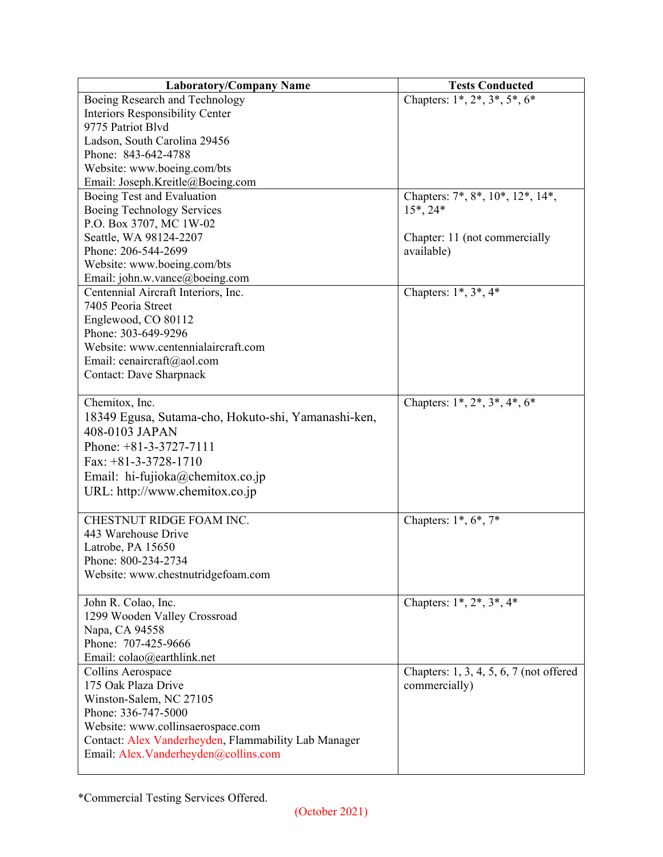| <b>Laboratory/Company Name</b>                       | <b>Tests Conducted</b>                    |
|------------------------------------------------------|-------------------------------------------|
| Boeing Research and Technology                       | Chapters: $1^*, 2^*, 3^*, 5^*, 6^*$       |
| Interiors Responsibility Center                      |                                           |
| 9775 Patriot Blvd                                    |                                           |
| Ladson, South Carolina 29456                         |                                           |
| Phone: 843-642-4788                                  |                                           |
| Website: www.boeing.com/bts                          |                                           |
| Email: Joseph.Kreitle@Boeing.com                     |                                           |
| Boeing Test and Evaluation                           | Chapters: 7*, 8*, 10*, 12*, 14*,          |
| Boeing Technology Services                           | $15^*$ , 24 $*$                           |
| P.O. Box 3707, MC 1W-02                              |                                           |
| Seattle, WA 98124-2207                               | Chapter: 11 (not commercially             |
| Phone: 206-544-2699                                  | available)                                |
| Website: www.boeing.com/bts                          |                                           |
| Email: john.w.vance@boeing.com                       |                                           |
| Centennial Aircraft Interiors, Inc.                  | Chapters: $1^*, 3^*, 4^*$                 |
| 7405 Peoria Street                                   |                                           |
| Englewood, CO 80112                                  |                                           |
| Phone: 303-649-9296                                  |                                           |
| Website: www.centennialaircraft.com                  |                                           |
| Email: cenaircraft@aol.com                           |                                           |
| <b>Contact: Dave Sharpnack</b>                       |                                           |
|                                                      |                                           |
| Chemitox, Inc.                                       | Chapters: $1^*, 2^*, 3^*, 4^*, 6^*$       |
| 18349 Egusa, Sutama-cho, Hokuto-shi, Yamanashi-ken,  |                                           |
| 408-0103 JAPAN                                       |                                           |
| Phone: $+81-3-3727-7111$                             |                                           |
| Fax: $+81-3-3728-1710$                               |                                           |
| Email: hi-fujioka@chemitox.co.jp                     |                                           |
| URL: http://www.chemitox.co.jp                       |                                           |
|                                                      |                                           |
| CHESTNUT RIDGE FOAM INC.                             | Chapters: $1^*, 6^*, 7^*$                 |
| 443 Warehouse Drive                                  |                                           |
| Latrobe, PA 15650                                    |                                           |
| Phone: 800-234-2734                                  |                                           |
| Website: www.chestnutridgefoam.com                   |                                           |
|                                                      |                                           |
| John R. Colao, Inc.                                  | Chapters: $1^*$ , $2^*$ , $3^*$ , $4^*$   |
| 1299 Wooden Valley Crossroad                         |                                           |
| Napa, CA 94558                                       |                                           |
| Phone: 707-425-9666                                  |                                           |
| Email: colao@earthlink.net                           |                                           |
| Collins Aerospace                                    | Chapters: $1, 3, 4, 5, 6, 7$ (not offered |
| 175 Oak Plaza Drive                                  | commercially)                             |
| Winston-Salem, NC 27105                              |                                           |
| Phone: 336-747-5000                                  |                                           |
| Website: www.collinsaerospace.com                    |                                           |
| Contact: Alex Vanderheyden, Flammability Lab Manager |                                           |
| Email: Alex.Vanderheyden@collins.com                 |                                           |
|                                                      |                                           |

<sup>\*</sup>Commercial Testing Services Offered.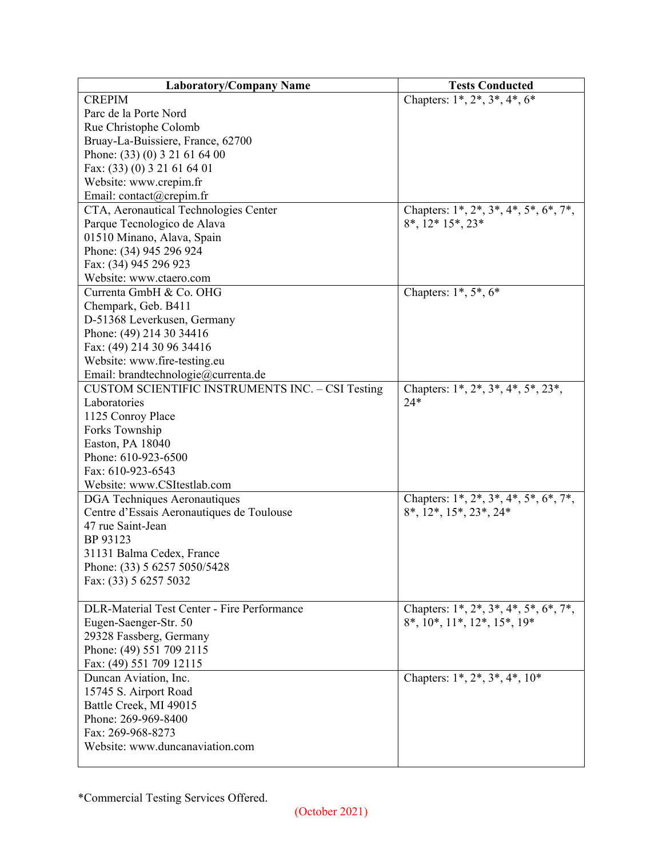| <b>Laboratory/Company Name</b>                          | <b>Tests Conducted</b>                             |
|---------------------------------------------------------|----------------------------------------------------|
| <b>CREPIM</b>                                           | Chapters: $1^*, 2^*, 3^*, 4^*, 6^*$                |
| Parc de la Porte Nord                                   |                                                    |
| Rue Christophe Colomb                                   |                                                    |
| Bruay-La-Buissiere, France, 62700                       |                                                    |
| Phone: (33) (0) 3 21 61 64 00                           |                                                    |
| Fax: (33) (0) 3 21 61 64 01                             |                                                    |
| Website: www.crepim.fr                                  |                                                    |
| Email: contact@crepim.fr                                |                                                    |
| CTA, Aeronautical Technologies Center                   | Chapters: $1^*, 2^*, 3^*, 4^*, 5^*, 6^*, 7^*,$     |
| Parque Tecnologico de Alava                             | $8^*$ , $12^*$ $15^*$ , $23^*$                     |
| 01510 Minano, Alava, Spain                              |                                                    |
| Phone: (34) 945 296 924                                 |                                                    |
| Fax: (34) 945 296 923                                   |                                                    |
| Website: www.ctaero.com                                 |                                                    |
| Currenta GmbH & Co. OHG                                 | Chapters: $1^*, 5^*, 6^*$                          |
| Chempark, Geb. B411                                     |                                                    |
| D-51368 Leverkusen, Germany                             |                                                    |
| Phone: (49) 214 30 34416                                |                                                    |
| Fax: (49) 214 30 96 34416                               |                                                    |
| Website: www.fire-testing.eu                            |                                                    |
| Email: brandtechnologie@currenta.de                     |                                                    |
| <b>CUSTOM SCIENTIFIC INSTRUMENTS INC. - CSI Testing</b> | Chapters: $1^*, 2^*, 3^*, 4^*, 5^*, 23^*,$         |
| Laboratories                                            | $24*$                                              |
| 1125 Conroy Place                                       |                                                    |
| Forks Township                                          |                                                    |
| Easton, PA 18040                                        |                                                    |
| Phone: 610-923-6500                                     |                                                    |
| Fax: 610-923-6543                                       |                                                    |
| Website: www.CSItestlab.com                             |                                                    |
| DGA Techniques Aeronautiques                            | Chapters: $1^*, 2^*, 3^*, 4^*, 5^*, 6^*, 7^*,$     |
| Centre d'Essais Aeronautiques de Toulouse               | 8*, 12*, 15*, 23*, 24*                             |
| 47 rue Saint-Jean                                       |                                                    |
| BP 93123                                                |                                                    |
| 31131 Balma Cedex, France                               |                                                    |
|                                                         |                                                    |
| Phone: (33) 5 6257 5050/5428<br>Fax: (33) 5 6257 5032   |                                                    |
|                                                         |                                                    |
| <b>DLR-Material Test Center - Fire Performance</b>      | Chapters: 1*, 2*, 3*, 4*, 5*, 6*, 7*,              |
|                                                         | $8^*$ , $10^*$ , $11^*$ , $12^*$ , $15^*$ , $19^*$ |
| Eugen-Saenger-Str. 50                                   |                                                    |
| 29328 Fassberg, Germany                                 |                                                    |
| Phone: (49) 551 709 2115                                |                                                    |
| Fax: (49) 551 709 12115                                 |                                                    |
| Duncan Aviation, Inc.                                   | Chapters: $1^*$ , $2^*$ , $3^*$ , $4^*$ , $10^*$   |
| 15745 S. Airport Road                                   |                                                    |
| Battle Creek, MI 49015                                  |                                                    |
| Phone: 269-969-8400                                     |                                                    |
| Fax: 269-968-8273                                       |                                                    |
| Website: www.duncanaviation.com                         |                                                    |
|                                                         |                                                    |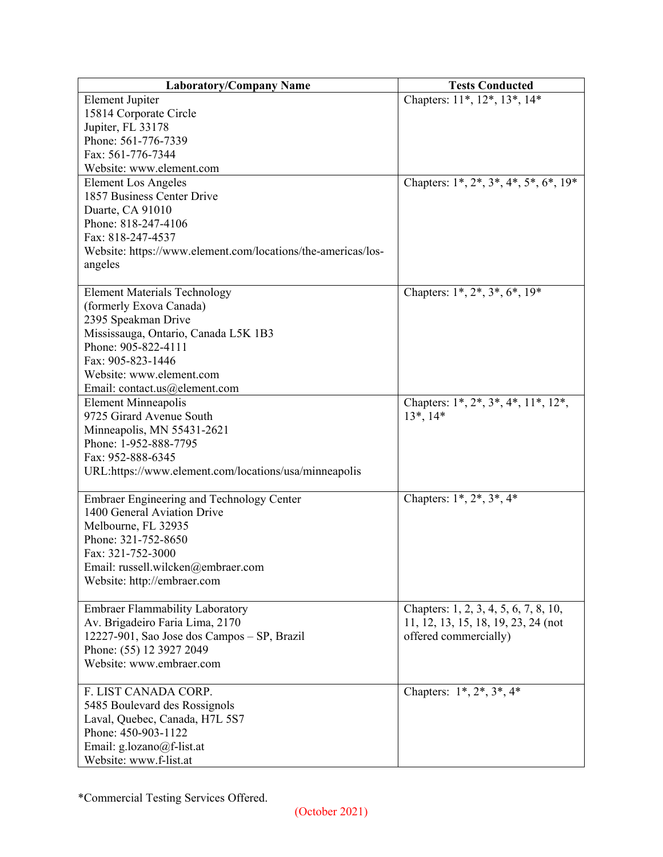| <b>Laboratory/Company Name</b>                               | <b>Tests Conducted</b>                         |
|--------------------------------------------------------------|------------------------------------------------|
| <b>Element Jupiter</b>                                       | Chapters: 11*, 12*, 13*, 14*                   |
| 15814 Corporate Circle                                       |                                                |
| Jupiter, FL 33178                                            |                                                |
| Phone: 561-776-7339                                          |                                                |
| Fax: 561-776-7344                                            |                                                |
| Website: www.element.com                                     |                                                |
| <b>Element Los Angeles</b>                                   | Chapters: $1^*, 2^*, 3^*, 4^*, 5^*, 6^*, 19^*$ |
| 1857 Business Center Drive                                   |                                                |
| Duarte, CA 91010                                             |                                                |
| Phone: 818-247-4106                                          |                                                |
| Fax: 818-247-4537                                            |                                                |
| Website: https://www.element.com/locations/the-americas/los- |                                                |
| angeles                                                      |                                                |
|                                                              |                                                |
| <b>Element Materials Technology</b>                          | Chapters: 1*, 2*, 3*, 6*, 19*                  |
| (formerly Exova Canada)                                      |                                                |
| 2395 Speakman Drive                                          |                                                |
| Mississauga, Ontario, Canada L5K 1B3                         |                                                |
| Phone: 905-822-4111                                          |                                                |
| Fax: 905-823-1446                                            |                                                |
| Website: www.element.com                                     |                                                |
| Email: contact.us@element.com                                |                                                |
| <b>Element Minneapolis</b>                                   | Chapters: 1*, 2*, 3*, 4*, 11*, 12*,            |
| 9725 Girard Avenue South                                     | $13^*$ , $14^*$                                |
| Minneapolis, MN 55431-2621                                   |                                                |
| Phone: 1-952-888-7795                                        |                                                |
| Fax: 952-888-6345                                            |                                                |
| URL:https://www.element.com/locations/usa/minneapolis        |                                                |
|                                                              |                                                |
| <b>Embraer Engineering and Technology Center</b>             | Chapters: $1^*$ , $2^*$ , $3^*$ , $4^*$        |
| 1400 General Aviation Drive                                  |                                                |
| Melbourne, FL 32935                                          |                                                |
| Phone: 321-752-8650                                          |                                                |
| Fax: 321-752-3000                                            |                                                |
| Email: russell.wilcken@embraer.com                           |                                                |
| Website: http://embraer.com                                  |                                                |
|                                                              |                                                |
| Embraer Flammability Laboratory                              | Chapters: 1, 2, 3, 4, 5, 6, 7, 8, 10,          |
| Av. Brigadeiro Faria Lima, 2170                              | 11, 12, 13, 15, 18, 19, 23, 24 (not            |
| 12227-901, Sao Jose dos Campos - SP, Brazil                  | offered commercially)                          |
| Phone: (55) 12 3927 2049                                     |                                                |
| Website: www.embraer.com                                     |                                                |
|                                                              |                                                |
| F. LIST CANADA CORP.                                         | Chapters: $1^*, 2^*, 3^*, 4^*$                 |
| 5485 Boulevard des Rossignols                                |                                                |
| Laval, Quebec, Canada, H7L 5S7                               |                                                |
| Phone: 450-903-1122                                          |                                                |
| Email: g.lozano@f-list.at                                    |                                                |
| Website: www.f-list.at                                       |                                                |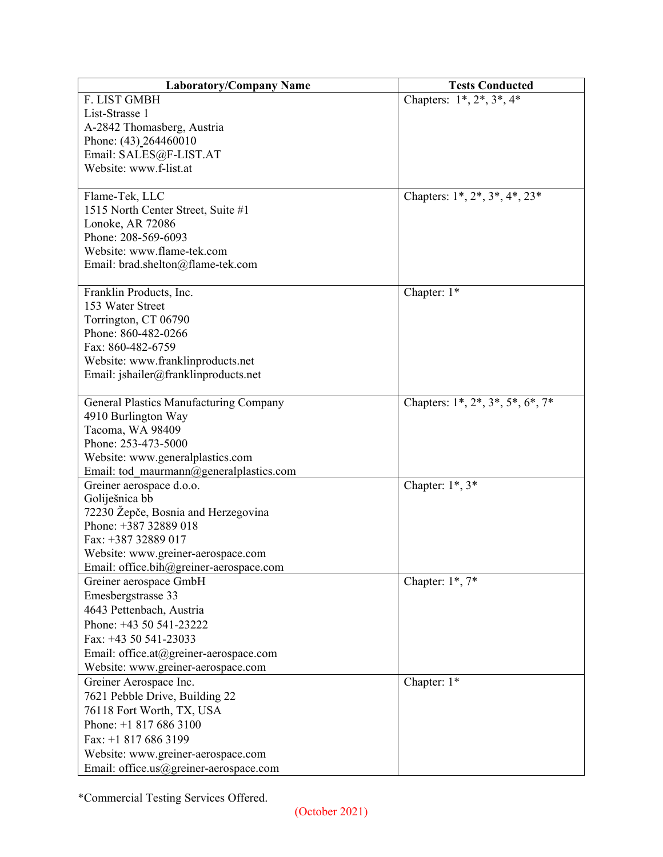| <b>Laboratory/Company Name</b>              | <b>Tests Conducted</b>                   |
|---------------------------------------------|------------------------------------------|
| F. LIST GMBH                                | Chapters: $1^*, 2^*, 3^*, 4^*$           |
| List-Strasse 1                              |                                          |
| A-2842 Thomasberg, Austria                  |                                          |
| Phone: (43) 264460010                       |                                          |
| Email: SALES@F-LIST.AT                      |                                          |
| Website: www.f-list.at                      |                                          |
|                                             |                                          |
| Flame-Tek, LLC                              | Chapters: $1^*, 2^*, 3^*, 4^*, 23^*$     |
| 1515 North Center Street, Suite #1          |                                          |
| Lonoke, AR 72086                            |                                          |
| Phone: 208-569-6093                         |                                          |
| Website: www.flame-tek.com                  |                                          |
| Email: brad.shelton@flame-tek.com           |                                          |
|                                             |                                          |
| Franklin Products, Inc.<br>153 Water Street | Chapter: 1*                              |
|                                             |                                          |
| Torrington, CT 06790<br>Phone: 860-482-0266 |                                          |
| Fax: 860-482-6759                           |                                          |
| Website: www.franklinproducts.net           |                                          |
| Email: jshailer@franklinproducts.net        |                                          |
|                                             |                                          |
| General Plastics Manufacturing Company      | Chapters: $1^*, 2^*, 3^*, 5^*, 6^*, 7^*$ |
| 4910 Burlington Way                         |                                          |
| Tacoma, WA 98409                            |                                          |
| Phone: 253-473-5000                         |                                          |
| Website: www.generalplastics.com            |                                          |
| Email: tod maurmann@generalplastics.com     |                                          |
| Greiner aerospace d.o.o.                    | Chapter: $1^*$ , $3^*$                   |
| Goliješnica bb                              |                                          |
| 72230 Žepče, Bosnia and Herzegovina         |                                          |
| Phone: +387 32889 018                       |                                          |
| Fax: +387 32889 017                         |                                          |
| Website: www.greiner-aerospace.com          |                                          |
| Email: office.bih@greiner-aerospace.com     |                                          |
| Greiner aerospace GmbH                      | Chapter: $1^*$ , $7^*$                   |
| Emesbergstrasse 33                          |                                          |
| 4643 Pettenbach, Austria                    |                                          |
| Phone: +43 50 541-23222                     |                                          |
| Fax: $+4350541-23033$                       |                                          |
| Email: office.at@greiner-aerospace.com      |                                          |
| Website: www.greiner-aerospace.com          |                                          |
| Greiner Aerospace Inc.                      | Chapter: 1*                              |
| 7621 Pebble Drive, Building 22              |                                          |
| 76118 Fort Worth, TX, USA                   |                                          |
| Phone: $+18176863100$                       |                                          |
| Fax: +1 817 686 3199                        |                                          |
| Website: www.greiner-aerospace.com          |                                          |
| Email: office.us@greiner-aerospace.com      |                                          |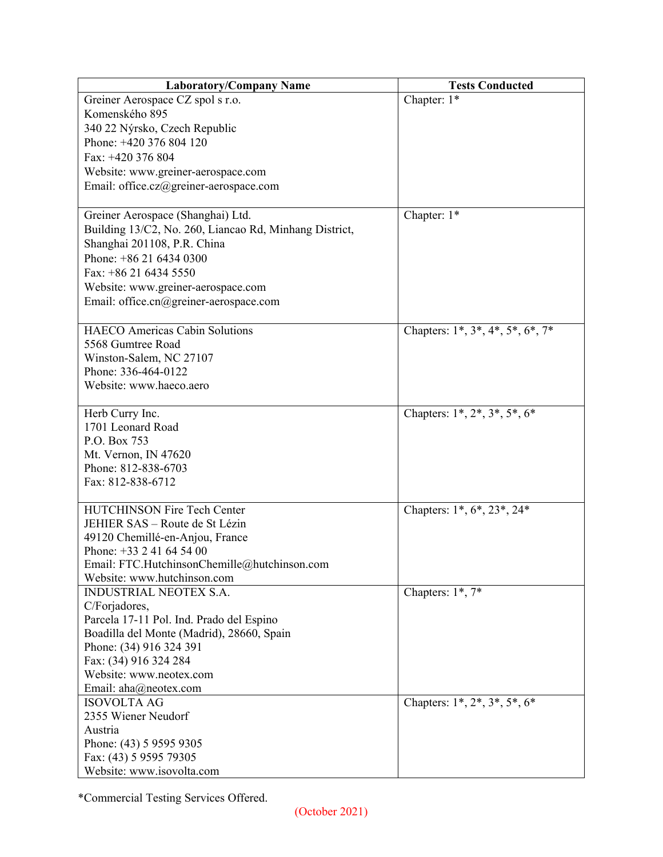| <b>Laboratory/Company Name</b>                         | <b>Tests Conducted</b>              |
|--------------------------------------------------------|-------------------------------------|
| Greiner Aerospace CZ spol s r.o.                       | Chapter: 1*                         |
| Komenského 895                                         |                                     |
| 340 22 Nýrsko, Czech Republic                          |                                     |
| Phone: +420 376 804 120                                |                                     |
| Fax: +420 376 804                                      |                                     |
| Website: www.greiner-aerospace.com                     |                                     |
| Email: office.cz@greiner-aerospace.com                 |                                     |
|                                                        |                                     |
| Greiner Aerospace (Shanghai) Ltd.                      | Chapter: 1*                         |
| Building 13/C2, No. 260, Liancao Rd, Minhang District, |                                     |
| Shanghai 201108, P.R. China                            |                                     |
| Phone: $+862164340300$                                 |                                     |
| Fax: +86 21 6434 5550                                  |                                     |
| Website: www.greiner-aerospace.com                     |                                     |
| Email: office.cn@greiner-aerospace.com                 |                                     |
|                                                        |                                     |
| <b>HAECO</b> Americas Cabin Solutions                  | Chapters: 1*, 3*, 4*, 5*, 6*, 7*    |
| 5568 Gumtree Road                                      |                                     |
| Winston-Salem, NC 27107                                |                                     |
| Phone: 336-464-0122                                    |                                     |
| Website: www.haeco.aero                                |                                     |
|                                                        |                                     |
| Herb Curry Inc.                                        | Chapters: $1^*, 2^*, 3^*, 5^*, 6^*$ |
| 1701 Leonard Road                                      |                                     |
| P.O. Box 753                                           |                                     |
| Mt. Vernon, IN 47620                                   |                                     |
| Phone: 812-838-6703                                    |                                     |
| Fax: 812-838-6712                                      |                                     |
|                                                        |                                     |
| <b>HUTCHINSON Fire Tech Center</b>                     | Chapters: 1*, 6*, 23*, 24*          |
| JEHIER SAS - Route de St Lézin                         |                                     |
| 49120 Chemillé-en-Anjou, France                        |                                     |
| Phone: $+33$ 2 41 64 54 00                             |                                     |
| Email: FTC.HutchinsonChemille@hutchinson.com           |                                     |
| Website: www.hutchinson.com                            |                                     |
| INDUSTRIAL NEOTEX S.A.                                 | Chapters: 1*, 7*                    |
| C/Forjadores,                                          |                                     |
| Parcela 17-11 Pol. Ind. Prado del Espino               |                                     |
| Boadilla del Monte (Madrid), 28660, Spain              |                                     |
| Phone: (34) 916 324 391                                |                                     |
| Fax: (34) 916 324 284                                  |                                     |
| Website: www.neotex.com                                |                                     |
| Email: aha@neotex.com                                  |                                     |
| <b>ISOVOLTA AG</b>                                     | Chapters: $1^*, 2^*, 3^*, 5^*, 6^*$ |
| 2355 Wiener Neudorf                                    |                                     |
| Austria                                                |                                     |
| Phone: (43) 5 9595 9305                                |                                     |
| Fax: (43) 5 9595 79305                                 |                                     |
| Website: www.isovolta.com                              |                                     |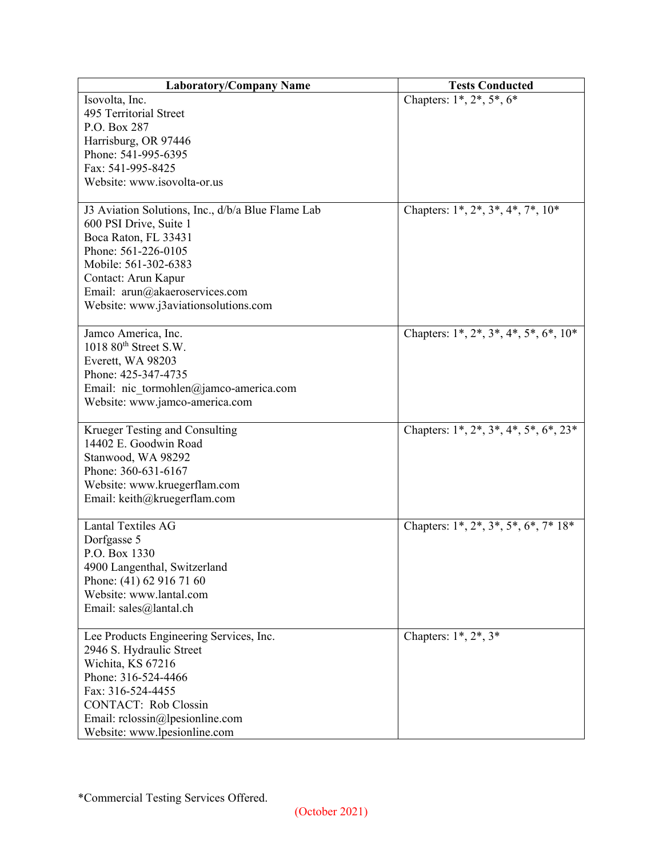| <b>Laboratory/Company Name</b>                               | <b>Tests Conducted</b>                         |
|--------------------------------------------------------------|------------------------------------------------|
| Isovolta, Inc.                                               | Chapters: $1^*, 2^*, 5^*, 6^*$                 |
| 495 Territorial Street                                       |                                                |
| P.O. Box 287                                                 |                                                |
| Harrisburg, OR 97446                                         |                                                |
| Phone: 541-995-6395                                          |                                                |
| Fax: 541-995-8425                                            |                                                |
| Website: www.isovolta-or.us                                  |                                                |
|                                                              |                                                |
| J3 Aviation Solutions, Inc., d/b/a Blue Flame Lab            | Chapters: $1^*, 2^*, 3^*, 4^*, 7^*, 10^*$      |
| 600 PSI Drive, Suite 1                                       |                                                |
| Boca Raton, FL 33431                                         |                                                |
| Phone: 561-226-0105                                          |                                                |
| Mobile: 561-302-6383                                         |                                                |
| Contact: Arun Kapur                                          |                                                |
| Email: arun@akaeroservices.com                               |                                                |
| Website: www.j3aviationsolutions.com                         |                                                |
|                                                              |                                                |
| Jamco America, Inc.                                          | Chapters: $1^*, 2^*, 3^*, 4^*, 5^*, 6^*, 10^*$ |
| $1018$ $80^{\text{th}}$ Street S.W.                          |                                                |
| Everett, WA 98203                                            |                                                |
| Phone: 425-347-4735                                          |                                                |
| Email: nic tormohlen@jamco-america.com                       |                                                |
| Website: www.jamco-america.com                               |                                                |
|                                                              |                                                |
| Krueger Testing and Consulting                               | Chapters: $1^*, 2^*, 3^*, 4^*, 5^*, 6^*, 23^*$ |
| 14402 E. Goodwin Road                                        |                                                |
| Stanwood, WA 98292<br>Phone: 360-631-6167                    |                                                |
|                                                              |                                                |
| Website: www.kruegerflam.com<br>Email: keith@kruegerflam.com |                                                |
|                                                              |                                                |
| <b>Lantal Textiles AG</b>                                    | Chapters: $1^*, 2^*, 3^*, 5^*, 6^*, 7^* 18^*$  |
| Dorfgasse 5                                                  |                                                |
| P.O. Box 1330                                                |                                                |
| 4900 Langenthal, Switzerland                                 |                                                |
| Phone: (41) 62 916 71 60                                     |                                                |
| Website: www.lantal.com                                      |                                                |
| Email: sales@lantal.ch                                       |                                                |
|                                                              |                                                |
| Lee Products Engineering Services, Inc.                      | Chapters: $1^*, 2^*, 3^*$                      |
| 2946 S. Hydraulic Street                                     |                                                |
| Wichita, KS 67216                                            |                                                |
| Phone: 316-524-4466                                          |                                                |
| Fax: 316-524-4455                                            |                                                |
| <b>CONTACT:</b> Rob Clossin                                  |                                                |
| Email: rclossin@lpesionline.com                              |                                                |
| Website: www.lpesionline.com                                 |                                                |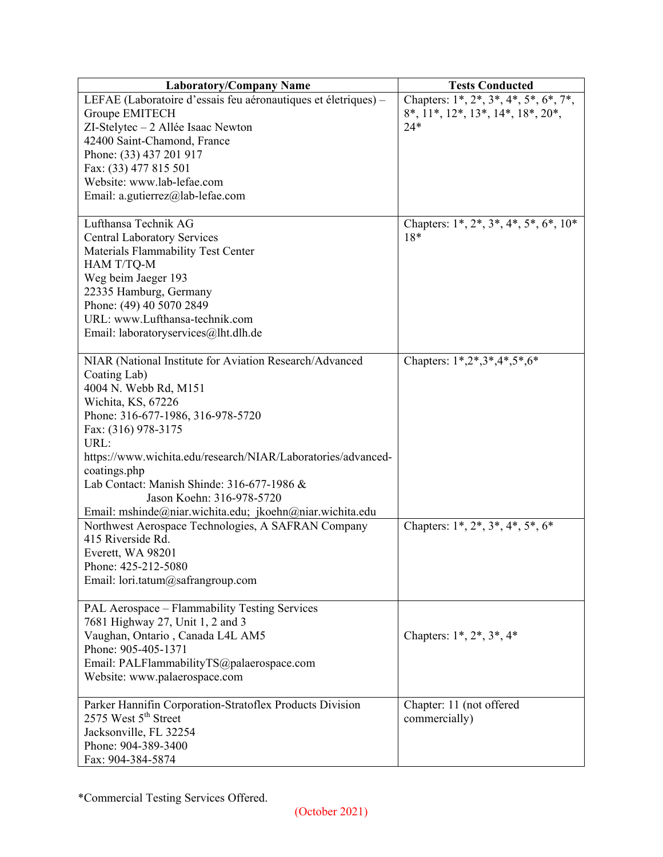| <b>Laboratory/Company Name</b>                                 | <b>Tests Conducted</b>                                  |
|----------------------------------------------------------------|---------------------------------------------------------|
| LEFAE (Laboratoire d'essais feu aéronautiques et életriques) - | Chapters: $1^*, 2^*, 3^*, 4^*, 5^*, 6^*, 7^*,$          |
| Groupe EMITECH                                                 | $8^*, 11^*, 12^*, 13^*, 14^*, 18^*, 20^*,$              |
| ZI-Stelytec - 2 Allée Isaac Newton                             | $24*$                                                   |
| 42400 Saint-Chamond, France                                    |                                                         |
| Phone: (33) 437 201 917                                        |                                                         |
| Fax: (33) 477 815 501                                          |                                                         |
| Website: www.lab-lefae.com                                     |                                                         |
| Email: a.gutierrez@lab-lefae.com                               |                                                         |
|                                                                |                                                         |
| Lufthansa Technik AG                                           | Chapters: $1^*, 2^*, 3^*, 4^*, 5^*, 6^*, 10^*$          |
| <b>Central Laboratory Services</b>                             | $18*$                                                   |
| Materials Flammability Test Center                             |                                                         |
| HAM T/TQ-M                                                     |                                                         |
| Weg beim Jaeger 193                                            |                                                         |
| 22335 Hamburg, Germany                                         |                                                         |
| Phone: (49) 40 5070 2849                                       |                                                         |
| URL: www.Lufthansa-technik.com                                 |                                                         |
|                                                                |                                                         |
| Email: laboratoryservices@lht.dlh.de                           |                                                         |
| NIAR (National Institute for Aviation Research/Advanced        | Chapters: 1*,2*,3*,4*,5*,6*                             |
|                                                                |                                                         |
| Coating Lab)                                                   |                                                         |
| 4004 N. Webb Rd, M151                                          |                                                         |
| Wichita, KS, 67226                                             |                                                         |
| Phone: 316-677-1986, 316-978-5720                              |                                                         |
| Fax: (316) 978-3175                                            |                                                         |
| URL:                                                           |                                                         |
| https://www.wichita.edu/research/NIAR/Laboratories/advanced-   |                                                         |
| coatings.php                                                   |                                                         |
| Lab Contact: Manish Shinde: 316-677-1986 &                     |                                                         |
| Jason Koehn: 316-978-5720                                      |                                                         |
| Email: mshinde@niar.wichita.edu; jkoehn@niar.wichita.edu       |                                                         |
| Northwest Aerospace Technologies, A SAFRAN Company             | Chapters: $1^*$ , $2^*$ , $3^*$ , $4^*$ , $5^*$ , $6^*$ |
| 415 Riverside Rd.                                              |                                                         |
| Everett, WA 98201                                              |                                                         |
| Phone: 425-212-5080                                            |                                                         |
| Email: lori.tatum@safrangroup.com                              |                                                         |
|                                                                |                                                         |
| PAL Aerospace - Flammability Testing Services                  |                                                         |
| 7681 Highway 27, Unit 1, 2 and 3                               |                                                         |
| Vaughan, Ontario, Canada L4L AM5                               | Chapters: $1^*$ , $2^*$ , $3^*$ , $4^*$                 |
| Phone: 905-405-1371                                            |                                                         |
| Email: PALFlammabilityTS@palaerospace.com                      |                                                         |
| Website: www.palaerospace.com                                  |                                                         |
|                                                                |                                                         |
| Parker Hannifin Corporation-Stratoflex Products Division       | Chapter: 11 (not offered                                |
| 2575 West 5 <sup>th</sup> Street                               | commercially)                                           |
| Jacksonville, FL 32254                                         |                                                         |
| Phone: 904-389-3400                                            |                                                         |
| Fax: 904-384-5874                                              |                                                         |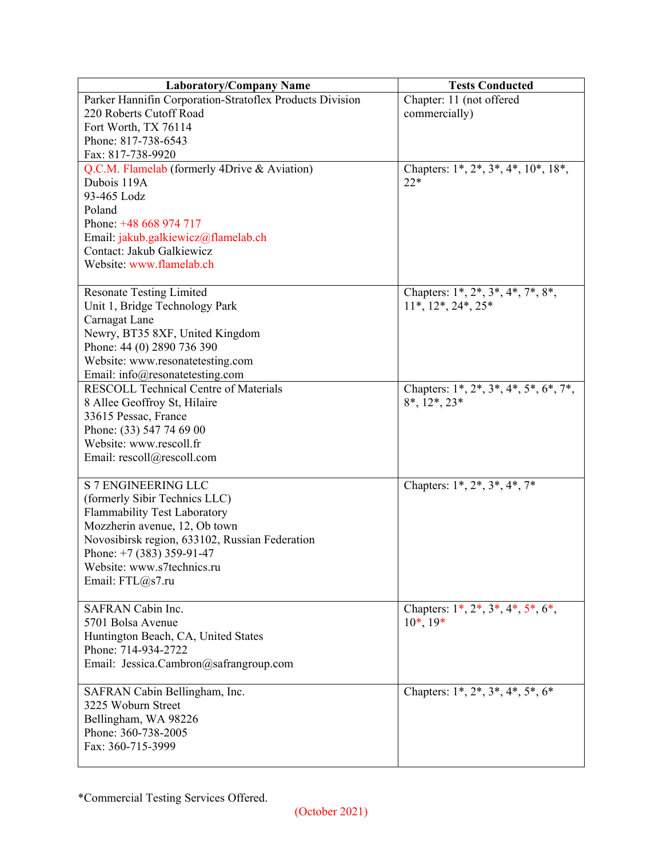| <b>Laboratory/Company Name</b>                           | <b>Tests Conducted</b>                      |
|----------------------------------------------------------|---------------------------------------------|
| Parker Hannifin Corporation-Stratoflex Products Division | Chapter: 11 (not offered                    |
| 220 Roberts Cutoff Road                                  | commercially)                               |
| Fort Worth, TX 76114                                     |                                             |
| Phone: 817-738-6543                                      |                                             |
| Fax: 817-738-9920                                        |                                             |
| Q.C.M. Flamelab (formerly 4Drive & Aviation)             | Chapters: $1^*, 2^*, 3^*, 4^*, 10^*, 18^*,$ |
| Dubois 119A                                              | $22*$                                       |
| 93-465 Lodz                                              |                                             |
| Poland                                                   |                                             |
| Phone: +48 668 974 717                                   |                                             |
| Email: jakub.galkiewicz@flamelab.ch                      |                                             |
| Contact: Jakub Galkiewicz                                |                                             |
| Website: www.flamelab.ch                                 |                                             |
|                                                          |                                             |
| <b>Resonate Testing Limited</b>                          | Chapters: 1*, 2*, 3*, 4*, 7*, 8*,           |
| Unit 1, Bridge Technology Park                           | $11^*, 12^*, 24^*, 25^*$                    |
| Carnagat Lane                                            |                                             |
| Newry, BT35 8XF, United Kingdom                          |                                             |
| Phone: 44 (0) 2890 736 390                               |                                             |
| Website: www.resonatetesting.com                         |                                             |
| Email: info@resonatetesting.com                          |                                             |
| <b>RESCOLL Technical Centre of Materials</b>             | Chapters: 1*, 2*, 3*, 4*, 5*, 6*, 7*,       |
| 8 Allee Geoffroy St, Hilaire<br>33615 Pessac, France     | $8^*, 12^*, 23^*$                           |
| Phone: (33) 547 74 69 00                                 |                                             |
| Website: www.rescoll.fr                                  |                                             |
| Email: rescoll@rescoll.com                               |                                             |
|                                                          |                                             |
| S 7 ENGINEERING LLC                                      | Chapters: $1^*, 2^*, 3^*, 4^*, 7^*$         |
| (formerly Sibir Technics LLC)                            |                                             |
| Flammability Test Laboratory                             |                                             |
| Mozzherin avenue, 12, Ob town                            |                                             |
| Novosibirsk region, 633102, Russian Federation           |                                             |
| Phone: $+7$ (383) 359-91-47                              |                                             |
| Website: www.s7technics.ru                               |                                             |
| Email: FTL@s7.ru                                         |                                             |
|                                                          |                                             |
| SAFRAN Cabin Inc.                                        | Chapters: $1^*, 2^*, 3^*, 4^*, 5^*, 6^*,$   |
| 5701 Bolsa Avenue                                        | $10^*, 19^*$                                |
| Huntington Beach, CA, United States                      |                                             |
| Phone: 714-934-2722                                      |                                             |
| Email: Jessica.Cambron@safrangroup.com                   |                                             |
| SAFRAN Cabin Bellingham, Inc.                            | Chapters: $1^*, 2^*, 3^*, 4^*, 5^*, 6^*$    |
| 3225 Woburn Street                                       |                                             |
| Bellingham, WA 98226                                     |                                             |
| Phone: 360-738-2005                                      |                                             |
| Fax: 360-715-3999                                        |                                             |
|                                                          |                                             |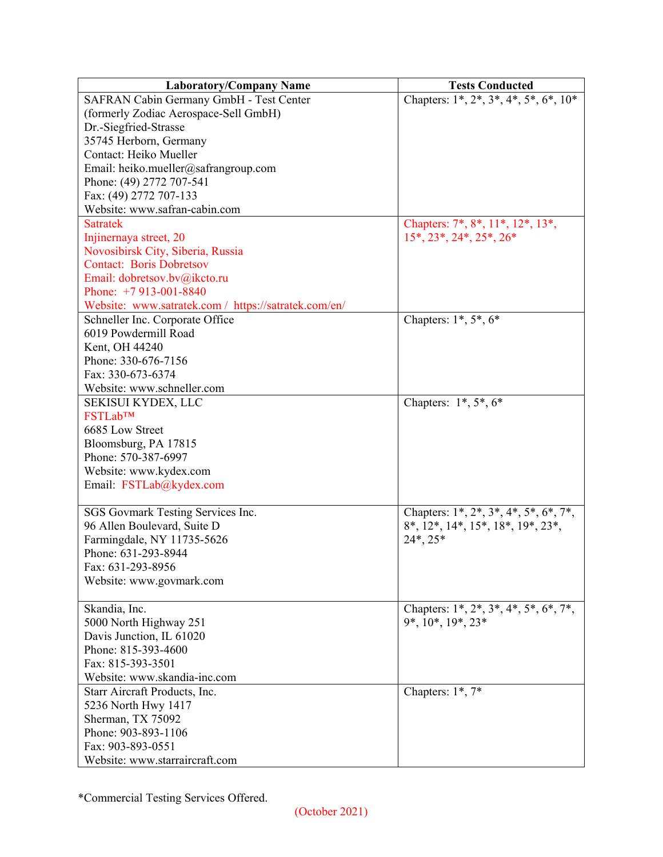| <b>Laboratory/Company Name</b>                       | <b>Tests Conducted</b>                                        |
|------------------------------------------------------|---------------------------------------------------------------|
| SAFRAN Cabin Germany GmbH - Test Center              | Chapters: $1^*, 2^*, 3^*, 4^*, 5^*, 6^*, 10^*$                |
| (formerly Zodiac Aerospace-Sell GmbH)                |                                                               |
| Dr.-Siegfried-Strasse                                |                                                               |
| 35745 Herborn, Germany                               |                                                               |
| Contact: Heiko Mueller                               |                                                               |
| Email: heiko.mueller@safrangroup.com                 |                                                               |
| Phone: (49) 2772 707-541                             |                                                               |
| Fax: (49) 2772 707-133                               |                                                               |
| Website: www.safran-cabin.com                        |                                                               |
| <b>Satratek</b>                                      | Chapters: 7*, 8*, 11*, 12*, 13*,                              |
| Injinernaya street, 20                               | $15^*$ , $23^*$ , $24^*$ , $25^*$ , $26^*$                    |
| Novosibirsk City, Siberia, Russia                    |                                                               |
| <b>Contact: Boris Dobretsov</b>                      |                                                               |
| Email: dobretsov.bv@ikcto.ru                         |                                                               |
| Phone: $+7913-001-8840$                              |                                                               |
| Website: www.satratek.com / https://satratek.com/en/ |                                                               |
| Schneller Inc. Corporate Office                      | Chapters: $1^*, 5^*, 6^*$                                     |
| 6019 Powdermill Road                                 |                                                               |
| Kent, OH 44240                                       |                                                               |
| Phone: 330-676-7156                                  |                                                               |
| Fax: 330-673-6374                                    |                                                               |
| Website: www.schneller.com                           |                                                               |
| SEKISUI KYDEX, LLC                                   | Chapters: $1^*, 5^*, 6^*$                                     |
| <b>FSTLab™</b>                                       |                                                               |
| 6685 Low Street                                      |                                                               |
| Bloomsburg, PA 17815                                 |                                                               |
| Phone: 570-387-6997                                  |                                                               |
| Website: www.kydex.com                               |                                                               |
| Email: FSTLab@kydex.com                              |                                                               |
|                                                      |                                                               |
| SGS Govmark Testing Services Inc.                    | Chapters: $1^*, 2^*, 3^*, 4^*, 5^*, 6^*, 7^*,$                |
| 96 Allen Boulevard, Suite D                          | $8^*$ , $12^*$ , $14^*$ , $15^*$ , $18^*$ , $19^*$ , $23^*$ , |
| Farmingdale, NY 11735-5626                           | $24^*$ , $25^*$                                               |
| Phone: 631-293-8944                                  |                                                               |
| Fax: 631-293-8956                                    |                                                               |
| Website: www.govmark.com                             |                                                               |
|                                                      |                                                               |
| Skandia, Inc.                                        | Chapters: $1^*, 2^*, 3^*, 4^*, 5^*, 6^*, 7^*,$                |
| 5000 North Highway 251                               | 9*, 10*, 19*, 23*                                             |
| Davis Junction, IL 61020                             |                                                               |
| Phone: 815-393-4600                                  |                                                               |
| Fax: 815-393-3501                                    |                                                               |
| Website: www.skandia-inc.com                         |                                                               |
| Starr Aircraft Products, Inc.                        | Chapters: $1^*$ , $7^*$                                       |
| 5236 North Hwy 1417                                  |                                                               |
| Sherman, TX 75092                                    |                                                               |
| Phone: 903-893-1106                                  |                                                               |
| Fax: 903-893-0551                                    |                                                               |
| Website: www.starraircraft.com                       |                                                               |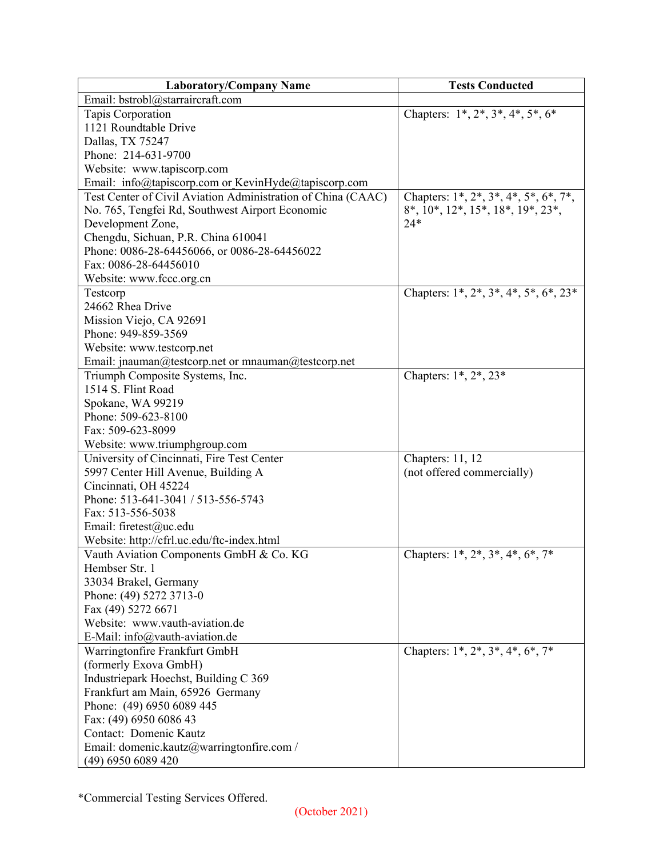| <b>Laboratory/Company Name</b>                               | <b>Tests Conducted</b>                                  |
|--------------------------------------------------------------|---------------------------------------------------------|
| Email: bstrobl@starraircraft.com                             |                                                         |
| Tapis Corporation                                            | Chapters: $1^*, 2^*, 3^*, 4^*, 5^*, 6^*$                |
| 1121 Roundtable Drive                                        |                                                         |
| Dallas, TX 75247                                             |                                                         |
| Phone: 214-631-9700                                          |                                                         |
| Website: www.tapiscorp.com                                   |                                                         |
| Email: info@tapiscorp.com or KevinHyde@tapiscorp.com         |                                                         |
| Test Center of Civil Aviation Administration of China (CAAC) | Chapters: $1^*, 2^*, 3^*, 4^*, 5^*, 6^*, 7^*,$          |
| No. 765, Tengfei Rd, Southwest Airport Economic              | 8*, 10*, 12*, 15*, 18*, 19*, 23*,                       |
| Development Zone,                                            | $24*$                                                   |
| Chengdu, Sichuan, P.R. China 610041                          |                                                         |
| Phone: 0086-28-64456066, or 0086-28-64456022                 |                                                         |
| Fax: 0086-28-64456010                                        |                                                         |
| Website: www.fccc.org.cn                                     |                                                         |
| Testcorp                                                     | Chapters: 1*, 2*, 3*, 4*, 5*, 6*, 23*                   |
| 24662 Rhea Drive                                             |                                                         |
| Mission Viejo, CA 92691                                      |                                                         |
| Phone: 949-859-3569                                          |                                                         |
| Website: www.testcorp.net                                    |                                                         |
| Email: jnauman@testcorp.net or mnauman@testcorp.net          |                                                         |
| Triumph Composite Systems, Inc.                              | Chapters: 1*, 2*, 23*                                   |
| 1514 S. Flint Road                                           |                                                         |
| Spokane, WA 99219                                            |                                                         |
| Phone: 509-623-8100                                          |                                                         |
| Fax: 509-623-8099                                            |                                                         |
| Website: www.triumphgroup.com                                |                                                         |
| University of Cincinnati, Fire Test Center                   | Chapters: 11, 12                                        |
| 5997 Center Hill Avenue, Building A                          | (not offered commercially)                              |
| Cincinnati, OH 45224                                         |                                                         |
| Phone: 513-641-3041 / 513-556-5743                           |                                                         |
| Fax: 513-556-5038                                            |                                                         |
| Email: firetest@uc.edu                                       |                                                         |
| Website: http://cfrl.uc.edu/ftc-index.html                   |                                                         |
| Vauth Aviation Components GmbH & Co. KG                      | Chapters: $1^*$ , $2^*$ , $3^*$ , $4^*$ , $6^*$ , $7^*$ |
| Hembser Str. 1                                               |                                                         |
| 33034 Brakel, Germany                                        |                                                         |
| Phone: (49) 5272 3713-0                                      |                                                         |
| Fax (49) 5272 6671                                           |                                                         |
| Website: www.vauth-aviation.de                               |                                                         |
| E-Mail: info@vauth-aviation.de                               |                                                         |
| Warringtonfire Frankfurt GmbH                                | Chapters: $1^*, 2^*, 3^*, 4^*, 6^*, 7^*$                |
| (formerly Exova GmbH)                                        |                                                         |
| Industriepark Hoechst, Building C 369                        |                                                         |
| Frankfurt am Main, 65926 Germany                             |                                                         |
| Phone: (49) 6950 6089 445                                    |                                                         |
| Fax: (49) 6950 6086 43                                       |                                                         |
| Contact: Domenic Kautz                                       |                                                         |
| Email: domenic.kautz@warringtonfire.com /                    |                                                         |
| (49) 6950 6089 420                                           |                                                         |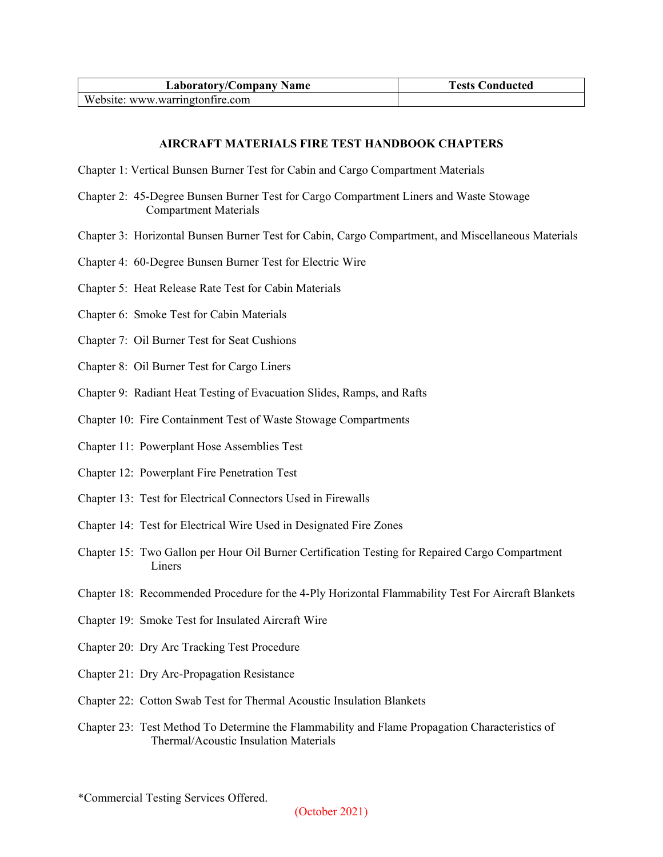| <b>Laboratory/Company Name</b>  | <b>Tests Conducted</b> |
|---------------------------------|------------------------|
| Website: www.warringtonfire.com |                        |

## **AIRCRAFT MATERIALS FIRE TEST HANDBOOK CHAPTERS**

- Chapter 1: Vertical Bunsen Burner Test for Cabin and Cargo Compartment Materials
- Chapter 2: 45-Degree Bunsen Burner Test for Cargo Compartment Liners and Waste Stowage Compartment Materials
- Chapter 3: Horizontal Bunsen Burner Test for Cabin, Cargo Compartment, and Miscellaneous Materials
- Chapter 4: 60-Degree Bunsen Burner Test for Electric Wire
- Chapter 5: Heat Release Rate Test for Cabin Materials
- Chapter 6: Smoke Test for Cabin Materials
- Chapter 7: Oil Burner Test for Seat Cushions
- Chapter 8: Oil Burner Test for Cargo Liners
- Chapter 9: Radiant Heat Testing of Evacuation Slides, Ramps, and Rafts
- Chapter 10: Fire Containment Test of Waste Stowage Compartments
- Chapter 11: Powerplant Hose Assemblies Test
- Chapter 12: Powerplant Fire Penetration Test
- Chapter 13: Test for Electrical Connectors Used in Firewalls
- Chapter 14: Test for Electrical Wire Used in Designated Fire Zones
- Chapter 15: Two Gallon per Hour Oil Burner Certification Testing for Repaired Cargo Compartment Liners
- Chapter 18: Recommended Procedure for the 4-Ply Horizontal Flammability Test For Aircraft Blankets
- Chapter 19: Smoke Test for Insulated Aircraft Wire
- Chapter 20: Dry Arc Tracking Test Procedure
- Chapter 21: Dry Arc-Propagation Resistance
- Chapter 22: Cotton Swab Test for Thermal Acoustic Insulation Blankets
- Chapter 23: Test Method To Determine the Flammability and Flame Propagation Characteristics of Thermal/Acoustic Insulation Materials

<sup>\*</sup>Commercial Testing Services Offered.